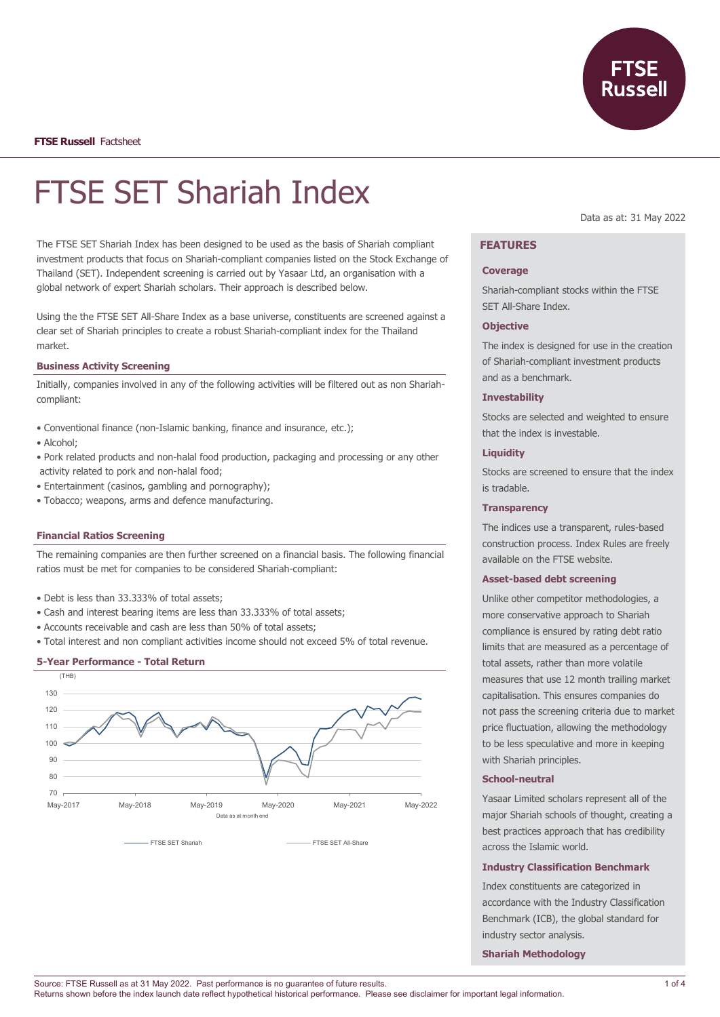

**FTSE Russell** Factsheet

# FTSE SET Shariah Index

The FTSE SET Shariah Index has been designed to be used as the basis of Shariah compliant investment products that focus on Shariah-compliant companies listed on the Stock Exchange of Thailand (SET). Independent screening is carried out by Yasaar Ltd, an organisation with a global network of expert Shariah scholars. Their approach is described below.

Using the the FTSE SET All-Share Index as a base universe, constituents are screened against a clear set of Shariah principles to create a robust Shariah-compliant index for the Thailand market.

## **Business Activity Screening**

Initially, companies involved in any of the following activities will be filtered out as non Shariahcompliant:

- Conventional finance (non-Islamic banking, finance and insurance, etc.);
- Alcohol;
- Pork related products and non-halal food production, packaging and processing or any other activity related to pork and non-halal food;
- Entertainment (casinos, gambling and pornography);
- Tobacco; weapons, arms and defence manufacturing.

## **Financial Ratios Screening**

The remaining companies are then further screened on a financial basis. The following financial ratios must be met for companies to be considered Shariah-compliant:

- Debt is less than 33.333% of total assets;
- Cash and interest bearing items are less than 33.333% of total assets;
- Accounts receivable and cash are less than 50% of total assets;
- Total interest and non compliant activities income should not exceed 5% of total revenue.

#### **5-Year Performance - Total Return**



FTSE SET Shariah **FTSE SET All-Share** 

Data as at: 31 May 2022

# **FEATURES**

#### **Coverage**

Shariah-compliant stocks within the FTSE SET All-Share Index.

## **Objective**

The index is designed for use in the creation of Shariah-compliant investment products and as a benchmark.

## **Investability**

Stocks are selected and weighted to ensure that the index is investable.

### **Liquidity**

Stocks are screened to ensure that the index is tradable.

## **Transparency**

The indices use a transparent, rules-based construction process. Index Rules are freely available on the FTSE website.

## **Asset-based debt screening**

Unlike other competitor methodologies, a more conservative approach to Shariah compliance is ensured by rating debt ratio limits that are measured as a percentage of total assets, rather than more volatile measures that use 12 month trailing market capitalisation. This ensures companies do not pass the screening criteria due to market price fluctuation, allowing the methodology to be less speculative and more in keeping with Shariah principles.

#### **School-neutral**

Yasaar Limited scholars represent all of the major Shariah schools of thought, creating a best practices approach that has credibility across the Islamic world.

## **Industry Classification Benchmark**

Index constituents are categorized in accordance with the Industry Classification Benchmark (ICB), the global standard for industry sector analysis.

**Shariah Methodology**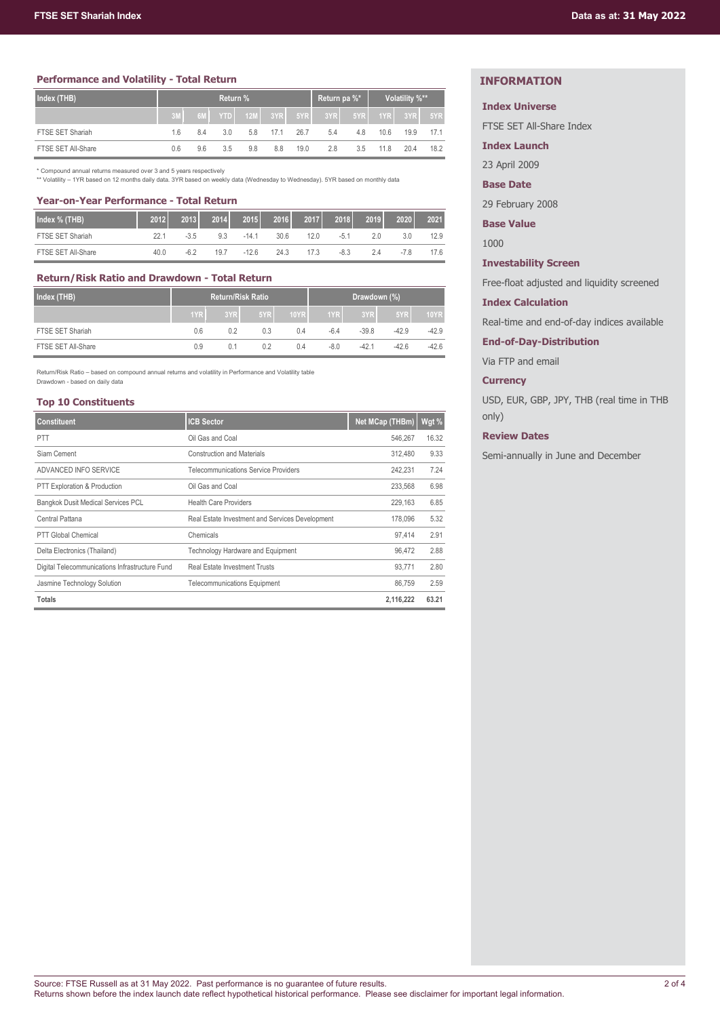## **Performance and Volatility - Total Return**

| Index (THB)        | Return % |     |     |             |      | Return pa %* |     | Volatility %** |             |      |      |
|--------------------|----------|-----|-----|-------------|------|--------------|-----|----------------|-------------|------|------|
|                    |          | 6M  |     | YTD 12M 3YR |      | 5YR          | 3YR |                | 5YR 1YR 3YR |      | 5YR  |
| FTSE SET Shariah   | 1.6      | 8.4 | 3.0 | 5.8         | 17.1 | 26.7         | 5.4 | 4.8            | 10.6        | 19.9 | 17.1 |
| FTSE SET All-Share | 0.6      | 9.6 | 3.5 | 9.8         | 8.8  | 19.0         | 2.8 | 3.5            | 118         | 204  | 18.2 |

\* Compound annual returns measured over 3 and 5 years respectively \*\* Volatility – 1YR based on 12 months daily data. 3YR based on weekly data (Wednesday to Wednesday). 5YR based on monthly data

## **Year-on-Year Performance - Total Return**

| Index % (THB)      | 2012 | 2013   | 2014 | 2015    | 2016 | 2017 | 2018   | 2019 | 2020   | 2021 |
|--------------------|------|--------|------|---------|------|------|--------|------|--------|------|
| FTSE SET Shariah   | 22.1 | $-3.5$ | 9.3  | $-14.1$ | 30.6 | 12 N | $-5.1$ | 2.0  | 3.0    | 12.9 |
| FTSE SET All-Share | 40.0 | $-6.2$ | 19.7 | $-12.6$ | 24.3 | 17.3 | $-8.3$ | 2.4  | $-7.8$ | 17.6 |

## **Return/Risk Ratio and Drawdown - Total Return**

| Index (THB)        |     | <b>Return/Risk Ratio</b> |     | Drawdown (%) |        |         |         |             |
|--------------------|-----|--------------------------|-----|--------------|--------|---------|---------|-------------|
|                    | 1YR | 3YR                      | 5YR | <b>10YR</b>  | 1YR    | 3YR     | 5YR     | <b>10YR</b> |
| FTSE SET Shariah   | 0.6 | 0.2                      | 0.3 | 0.4          | $-6.4$ | $-39.8$ | $-42.9$ | $-42.9$     |
| FTSE SET All-Share | 0.9 | 0.1                      | 0.2 | 0.4          | $-8.0$ | $-42.1$ | $-42.6$ | $-42.6$     |

Return/Risk Ratio – based on compound annual returns and volatility in Performance and Volatility table Drawdown - based on daily data

#### **Top 10 Constituents**

| <b>Constituent</b>                             | <b>ICB Sector</b>                               | Net MCap (THBm) | Wgt % |
|------------------------------------------------|-------------------------------------------------|-----------------|-------|
| <b>PTT</b>                                     | Oil Gas and Coal                                | 546.267         | 16.32 |
| Siam Cement                                    | <b>Construction and Materials</b>               | 312.480         | 9.33  |
| ADVANCED INFO SERVICE                          | <b>Telecommunications Service Providers</b>     | 242.231         | 7.24  |
| PTT Exploration & Production                   | Oil Gas and Coal                                | 233.568         | 6.98  |
| <b>Bangkok Dusit Medical Services PCL</b>      | <b>Health Care Providers</b>                    | 229.163         | 6.85  |
| Central Pattana                                | Real Estate Investment and Services Development | 178,096         | 5.32  |
| <b>PTT Global Chemical</b>                     | Chemicals                                       | 97.414          | 2.91  |
| Delta Electronics (Thailand)                   | Technology Hardware and Equipment               | 96.472          | 2.88  |
| Digital Telecommunications Infrastructure Fund | <b>Real Estate Investment Trusts</b>            | 93,771          | 2.80  |
| Jasmine Technology Solution                    | <b>Telecommunications Equipment</b>             | 86.759          | 2.59  |
| <b>Totals</b>                                  |                                                 | 2,116,222       | 63.21 |

# **INFORMATION**

## **Index Universe**

FTSE SET All-Share Index

**Index Launch**

23 April 2009

# **Base Date**

29 February 2008

**Base Value**

1000

## **Investability Screen**

Free-float adjusted and liquidity screened

## **Index Calculation**

Real-time and end-of-day indices available

**End-of-Day-Distribution**

Via FTP and email

## **Currency**

USD, EUR, GBP, JPY, THB (real time in THB only)

# **Review Dates**

Semi-annually in June and December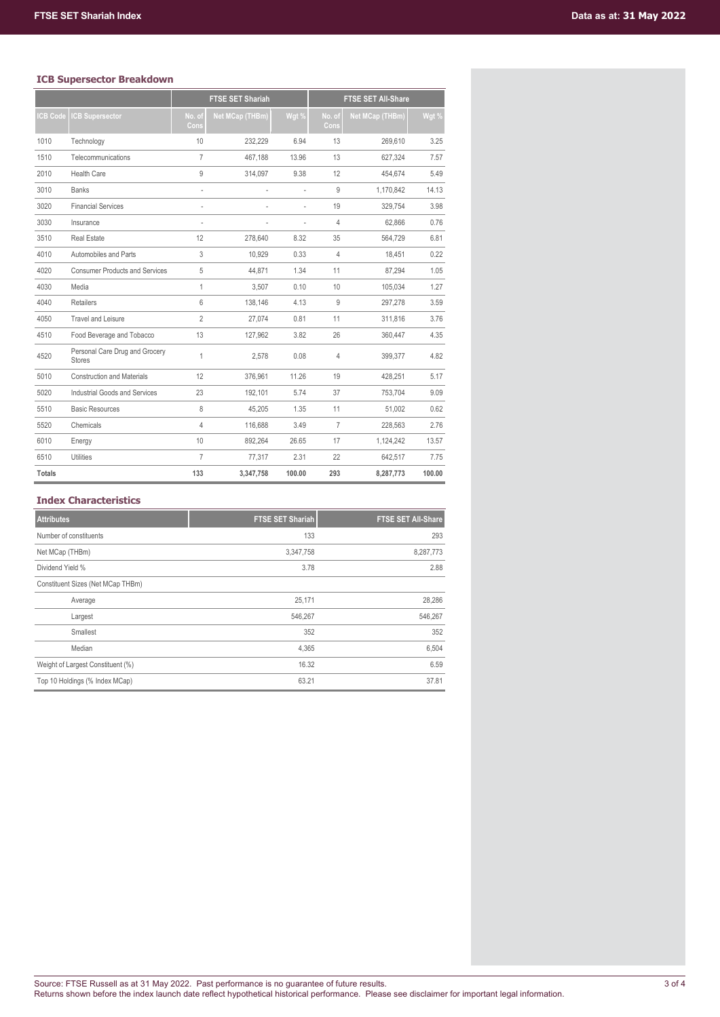# **ICB Supersector Breakdown**

|                |                                                 |                | <b>FTSE SET Shariah</b> |        |                | <b>FTSE SET All-Share</b> |        |
|----------------|-------------------------------------------------|----------------|-------------------------|--------|----------------|---------------------------|--------|
| <b>CB Code</b> | <b>CB Supersector</b>                           | No. of<br>Cons | <b>Net MCap (THBm)</b>  | Wgt %  | No. of<br>Cons | <b>Net MCap (THBm)</b>    | Wgt %  |
| 1010           | Technology                                      | 10             | 232.229                 | 6.94   | 13             | 269.610                   | 3.25   |
| 1510           | Telecommunications                              | $\overline{7}$ | 467,188                 | 13.96  | 13             | 627,324                   | 7.57   |
| 2010           | <b>Health Care</b>                              | 9              | 314,097                 | 9.38   | 12             | 454.674                   | 5.49   |
| 3010           | <b>Banks</b>                                    | ä,             |                         | ÷      | 9              | 1,170,842                 | 14.13  |
| 3020           | <b>Financial Services</b>                       |                |                         | ۰      | 19             | 329.754                   | 3.98   |
| 3030           | Insurance                                       | l,             |                         | ÷.     | $\overline{4}$ | 62,866                    | 0.76   |
| 3510           | <b>Real Estate</b>                              | 12             | 278,640                 | 8.32   | 35             | 564,729                   | 6.81   |
| 4010           | Automobiles and Parts                           | 3              | 10.929                  | 0.33   | $\overline{4}$ | 18,451                    | 0.22   |
| 4020           | <b>Consumer Products and Services</b>           | 5              | 44.871                  | 1.34   | 11             | 87.294                    | 1.05   |
| 4030           | Media                                           | 1              | 3.507                   | 0.10   | 10             | 105.034                   | 1.27   |
| 4040           | <b>Retailers</b>                                | 6              | 138,146                 | 4.13   | 9              | 297,278                   | 3.59   |
| 4050           | Travel and Leisure                              | $\overline{2}$ | 27.074                  | 0.81   | 11             | 311,816                   | 3.76   |
| 4510           | Food Beverage and Tobacco                       | 13             | 127,962                 | 3.82   | 26             | 360,447                   | 4.35   |
| 4520           | Personal Care Drug and Grocery<br><b>Stores</b> | 1              | 2.578                   | 0.08   | 4              | 399,377                   | 4.82   |
| 5010           | <b>Construction and Materials</b>               | 12             | 376,961                 | 11.26  | 19             | 428,251                   | 5.17   |
| 5020           | Industrial Goods and Services                   | 23             | 192.101                 | 5.74   | 37             | 753.704                   | 9.09   |
| 5510           | <b>Basic Resources</b>                          | 8              | 45.205                  | 1.35   | 11             | 51.002                    | 0.62   |
| 5520           | Chemicals                                       | $\overline{4}$ | 116,688                 | 3.49   | $\overline{7}$ | 228.563                   | 2.76   |
| 6010           | Energy                                          | 10             | 892,264                 | 26.65  | 17             | 1,124,242                 | 13.57  |
| 6510           | Utilities                                       | $\overline{7}$ | 77,317                  | 2.31   | 22             | 642,517                   | 7.75   |
| <b>Totals</b>  |                                                 | 133            | 3,347,758               | 100.00 | 293            | 8,287,773                 | 100.00 |

# **Index Characteristics**

| <b>Attributes</b>                 | <b>FTSE SET Shariah</b> | <b>FTSE SET All-Share</b> |
|-----------------------------------|-------------------------|---------------------------|
| Number of constituents            | 133                     | 293                       |
| Net MCap (THBm)                   | 3,347,758               | 8,287,773                 |
| Dividend Yield %                  | 3.78                    | 2.88                      |
| Constituent Sizes (Net MCap THBm) |                         |                           |
| Average                           | 25,171                  | 28,286                    |
| Largest                           | 546,267                 | 546,267                   |
| Smallest                          | 352                     | 352                       |
| Median                            | 4,365                   | 6,504                     |
| Weight of Largest Constituent (%) | 16.32                   | 6.59                      |
| Top 10 Holdings (% Index MCap)    | 63.21                   | 37.81                     |